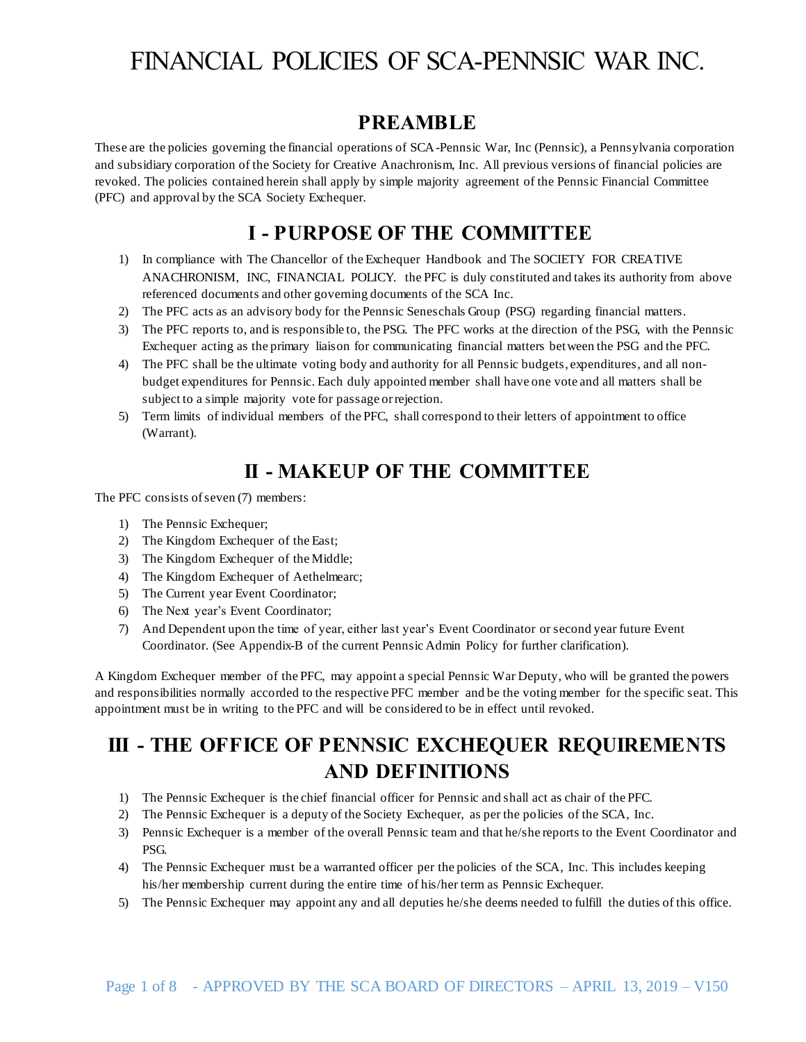#### **PREAMBLE**

These are the policies governing the financial operations of SCA-Pennsic War, Inc (Pennsic), a Pennsylvania corporation and subsidiary corporation of the Society for Creative Anachronism, Inc. All previous versions of financial policies are revoked. The policies contained herein shall apply by simple majority agreement of the Pennsic Financial Committee (PFC) and approval by the SCA Society Exchequer.

## **I - PURPOSE OF THE COMMITTEE**

- 1) In compliance with The Chancellor of the Exchequer Handbook and The SOCIETY FOR CREATIVE ANACHRONISM, INC, FINANCIAL POLICY. the PFC is duly constituted and takes its authority from above referenced documents and other governing documents of the SCA Inc.
- 2) The PFC acts as an advisory body for the Pennsic Seneschals Group (PSG) regarding financial matters.
- 3) The PFC reports to, and is responsible to, the PSG. The PFC works at the direction of the PSG, with the Pennsic Exchequer acting as the primary liaison for communicating financial matters between the PSG and the PFC.
- 4) The PFC shall be the ultimate voting body and authority for all Pennsic budgets, expenditures, and all nonbudget expenditures for Pennsic. Each duly appointed member shall have one vote and all matters shall be subject to a simple majority vote for passage or rejection.
- 5) Term limits of individual members of the PFC, shall correspond to their letters of appointment to office (Warrant).

### **II - MAKEUP OF THE COMMITTEE**

The PFC consists of seven (7) members:

- 1) The Pennsic Exchequer;
- 2) The Kingdom Exchequer of the East;
- 3) The Kingdom Exchequer of the Middle;
- 4) The Kingdom Exchequer of Aethelmearc;
- 5) The Current year Event Coordinator;
- 6) The Next year's Event Coordinator;
- 7) And Dependent upon the time of year, either last year's Event Coordinator or second year future Event Coordinator. (See Appendix-B of the current Pennsic Admin Policy for further clarification).

A Kingdom Exchequer member of the PFC, may appoint a special Pennsic War Deputy, who will be granted the powers and responsibilities normally accorded to the respective PFC member and be the voting member for the specific seat. This appointment must be in writing to the PFC and will be considered to be in effect until revoked.

## **III - THE OFFICE OF PENNSIC EXCHEQUER REQUIREMENTS AND DEFINITIONS**

- 1) The Pennsic Exchequer is the chief financial officer for Pennsic and shall act as chair of the PFC.
- 2) The Pennsic Exchequer is a deputy of the Society Exchequer, as per the policies of the SCA, Inc.
- 3) Pennsic Exchequer is a member of the overall Pennsic team and that he/she reports to the Event Coordinator and PSG.
- 4) The Pennsic Exchequer must be a warranted officer per the policies of the SCA, Inc. This includes keeping his/her membership current during the entire time of his/her term as Pennsic Exchequer.
- 5) The Pennsic Exchequer may appoint any and all deputies he/she deems needed to fulfill the duties of this office.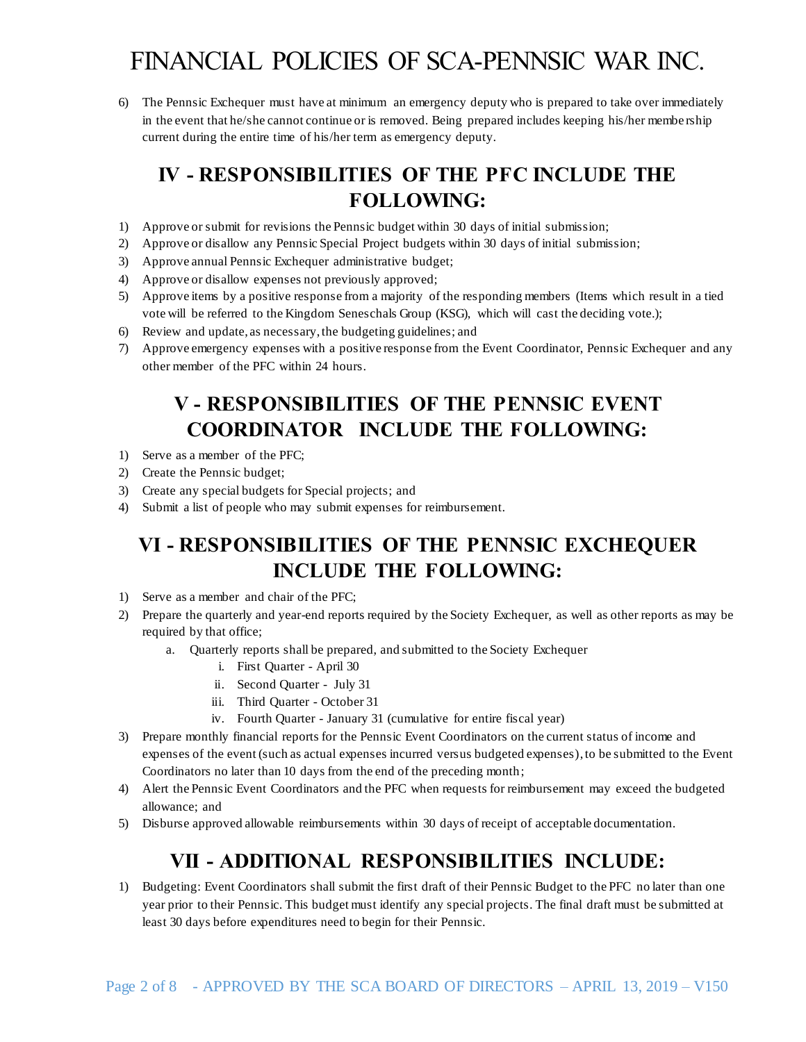6) The Pennsic Exchequer must have at minimum an emergency deputy who is prepared to take over immediately in the event that he/she cannot continue or is removed. Being prepared includes keeping his/her membe rship current during the entire time of his/her term as emergency deputy.

## **IV - RESPONSIBILITIES OF THE PFC INCLUDE THE FOLLOWING:**

- 1) Approve or submit for revisions the Pennsic budget within 30 days of initial submission;
- 2) Approve or disallow any Pennsic Special Project budgets within 30 days of initial submission;
- 3) Approve annual Pennsic Exchequer administrative budget;
- 4) Approve or disallow expenses not previously approved;
- 5) Approve items by a positive response from a majority of the responding members (Items which result in a tied vote will be referred to the Kingdom Seneschals Group (KSG), which will cast the deciding vote.);
- 6) Review and update, as necessary, the budgeting guidelines; and
- 7) Approve emergency expenses with a positive response from the Event Coordinator, Pennsic Exchequer and any other member of the PFC within 24 hours.

## **V - RESPONSIBILITIES OF THE PENNSIC EVENT COORDINATOR INCLUDE THE FOLLOWING:**

- 1) Serve as a member of the PFC;
- 2) Create the Pennsic budget;
- 3) Create any special budgets for Special projects; and
- 4) Submit a list of people who may submit expenses for reimbursement.

## **VI - RESPONSIBILITIES OF THE PENNSIC EXCHEQUER INCLUDE THE FOLLOWING:**

- 1) Serve as a member and chair of the PFC;
- 2) Prepare the quarterly and year-end reports required by the Society Exchequer, as well as other reports as may be required by that office;
	- a. Quarterly reports shall be prepared, and submitted to the Society Exchequer
		- i. First Quarter April 30
		- ii. Second Quarter July 31
		- iii. Third Quarter October 31
		- iv. Fourth Quarter January 31 (cumulative for entire fiscal year)
- 3) Prepare monthly financial reports for the Pennsic Event Coordinators on the current status of income and expenses of the event (such as actual expenses incurred versus budgeted expenses), to be submitted to the Event Coordinators no later than 10 days from the end of the preceding month;
- 4) Alert the Pennsic Event Coordinators and the PFC when requests for reimbursement may exceed the budgeted allowance; and
- 5) Disburse approved allowable reimbursements within 30 days of receipt of acceptable documentation.

## **VII - ADDITIONAL RESPONSIBILITIES INCLUDE:**

1) Budgeting: Event Coordinators shall submit the first draft of their Pennsic Budget to the PFC no later than one year prior to their Pennsic. This budget must identify any special projects. The final draft must be submitted at least 30 days before expenditures need to begin for their Pennsic.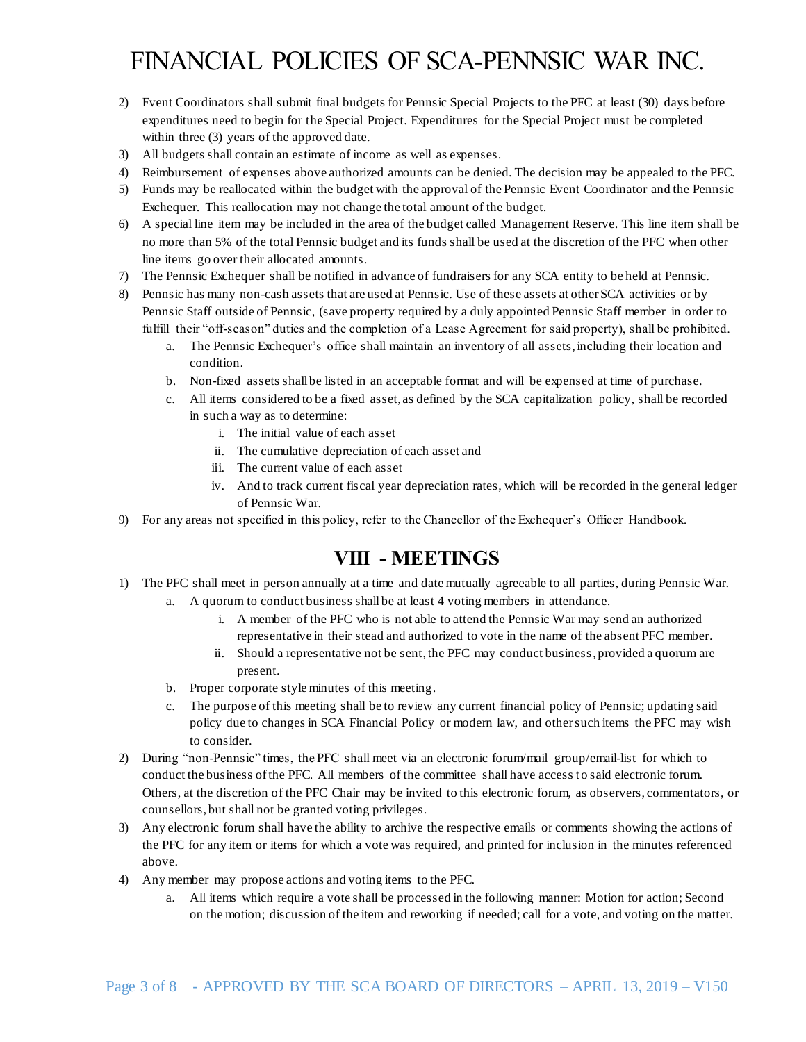- 2) Event Coordinators shall submit final budgets for Pennsic Special Projects to the PFC at least (30) days before expenditures need to begin for the Special Project. Expenditures for the Special Project must be completed within three (3) years of the approved date.
- 3) All budgets shall contain an estimate of income as well as expenses.
- 4) Reimbursement of expenses above authorized amounts can be denied. The decision may be appealed to the PFC.
- 5) Funds may be reallocated within the budget with the approval of the Pennsic Event Coordinator and the Pennsic Exchequer. This reallocation may not change the total amount of the budget.
- 6) A special line item may be included in the area of the budget called Management Reserve. This line item shall be no more than 5% of the total Pennsic budget and its funds shall be used at the discretion of the PFC when other line items go over their allocated amounts.
- 7) The Pennsic Exchequer shall be notified in advance of fundraisers for any SCA entity to be held at Pennsic.
- 8) Pennsic has many non-cash assets that are used at Pennsic. Use of these assets at other SCA activities or by Pennsic Staff outside of Pennsic, (save property required by a duly appointed Pennsic Staff member in order to fulfill their "off-season" duties and the completion of a Lease Agreement for said property), shall be prohibited.
	- a. The Pennsic Exchequer's office shall maintain an inventory of all assets, including their location and condition.
	- b. Non-fixed assets shall be listed in an acceptable format and will be expensed at time of purchase.
	- c. All items considered to be a fixed asset, as defined by the SCA capitalization policy, shall be recorded in such a way as to determine:
		- i. The initial value of each asset
		- ii. The cumulative depreciation of each asset and
		- iii. The current value of each asset
		- iv. And to track current fiscal year depreciation rates, which will be recorded in the general ledger of Pennsic War.
- 9) For any areas not specified in this policy, refer to the Chancellor of the Exchequer's Officer Handbook.

## **VIII - MEETINGS**

- 1) The PFC shall meet in person annually at a time and date mutually agreeable to all parties, during Pennsic War.
	- a. A quorum to conduct business shall be at least 4 voting members in attendance.
		- i. A member of the PFC who is not able to attend the Pennsic War may send an authorized representative in their stead and authorized to vote in the name of the absent PFC member.
		- ii. Should a representative not be sent, the PFC may conduct business, provided a quorum are present.
	- b. Proper corporate style minutes of this meeting.
	- c. The purpose of this meeting shall be to review any current financial policy of Pennsic; updating said policy due to changes in SCA Financial Policy or modern law, and other such items the PFC may wish to consider.
- 2) During "non-Pennsic" times, the PFC shall meet via an electronic forum/mail group/email-list for which to conduct the business of the PFC. All members of the committee shall have access to said electronic forum. Others, at the discretion of the PFC Chair may be invited to this electronic forum, as observers, commentators, or counsellors, but shall not be granted voting privileges.
- 3) Any electronic forum shall have the ability to archive the respective emails or comments showing the actions of the PFC for any item or items for which a vote was required, and printed for inclusion in the minutes referenced above.
- 4) Any member may propose actions and voting items to the PFC.
	- a. All items which require a vote shall be processed in the following manner: Motion for action; Second on the motion; discussion of the item and reworking if needed; call for a vote, and voting on the matter.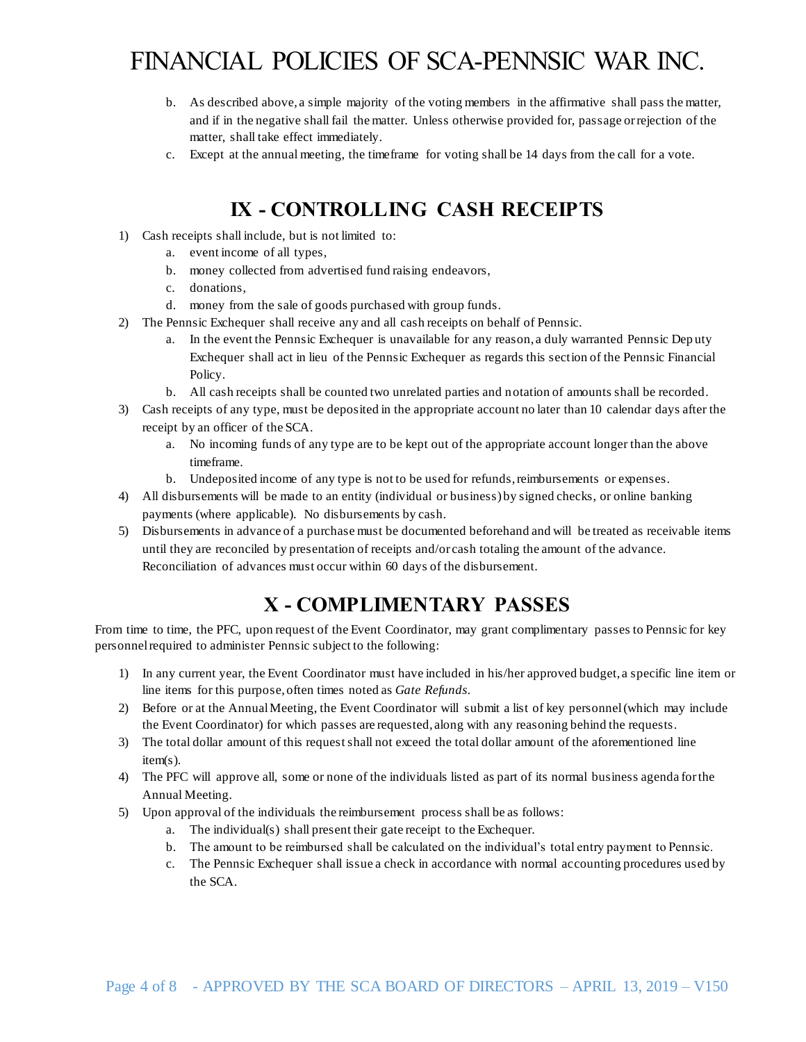- b. As described above, a simple majority of the voting members in the affirmative shall pass the matter, and if in the negative shall fail the matter. Unless otherwise provided for, passage or rejection of the matter, shall take effect immediately.
- c. Except at the annual meeting, the timeframe for voting shall be 14 days from the call for a vote.

## **IX - CONTROLLING CASH RECEIPTS**

- 1) Cash receipts shall include, but is not limited to:
	- a. event income of all types,
	- b. money collected from advertised fund raising endeavors,
	- c. donations,
	- d. money from the sale of goods purchased with group funds.
- 2) The Pennsic Exchequer shall receive any and all cash receipts on behalf of Pennsic.
	- a. In the event the Pennsic Exchequer is unavailable for any reason, a duly warranted Pennsic Dep uty Exchequer shall act in lieu of the Pennsic Exchequer as regards this section of the Pennsic Financial Policy.
	- b. All cash receipts shall be counted two unrelated parties and notation of amounts shall be recorded.
- 3) Cash receipts of any type, must be deposited in the appropriate account no later than 10 calendar days after the receipt by an officer of the SCA.
	- a. No incoming funds of any type are to be kept out of the appropriate account longer than the above timeframe.
	- b. Undeposited income of any type is not to be used for refunds, reimbursements or expenses.
- 4) All disbursements will be made to an entity (individual or business) by signed checks, or online banking payments (where applicable). No disbursements by cash.
- 5) Disbursements in advance of a purchase must be documented beforehand and will be treated as receivable items until they are reconciled by presentation of receipts and/or cash totaling the amount of the advance. Reconciliation of advances must occur within 60 days of the disbursement.

#### **X - COMPLIMENTARY PASSES**

From time to time, the PFC, upon request of the Event Coordinator, may grant complimentary passes to Pennsic for key personnel required to administer Pennsic subject to the following:

- 1) In any current year, the Event Coordinator must have included in his/her approved budget, a specific line item or line items for this purpose, often times noted as *Gate Refunds*.
- 2) Before or at the Annual Meeting, the Event Coordinator will submit a list of key personnel(which may include the Event Coordinator) for which passes are requested, along with any reasoning behind the requests.
- 3) The total dollar amount of this request shall not exceed the total dollar amount of the aforementioned line item(s).
- 4) The PFC will approve all, some or none of the individuals listed as part of its normal business agenda for the Annual Meeting.
- 5) Upon approval of the individuals the reimbursement process shall be as follows:
	- a. The individual(s) shall present their gate receipt to the Exchequer.
	- b. The amount to be reimbursed shall be calculated on the individual's total entry payment to Pennsic.
	- c. The Pennsic Exchequer shall issue a check in accordance with normal accounting procedures used by the SCA.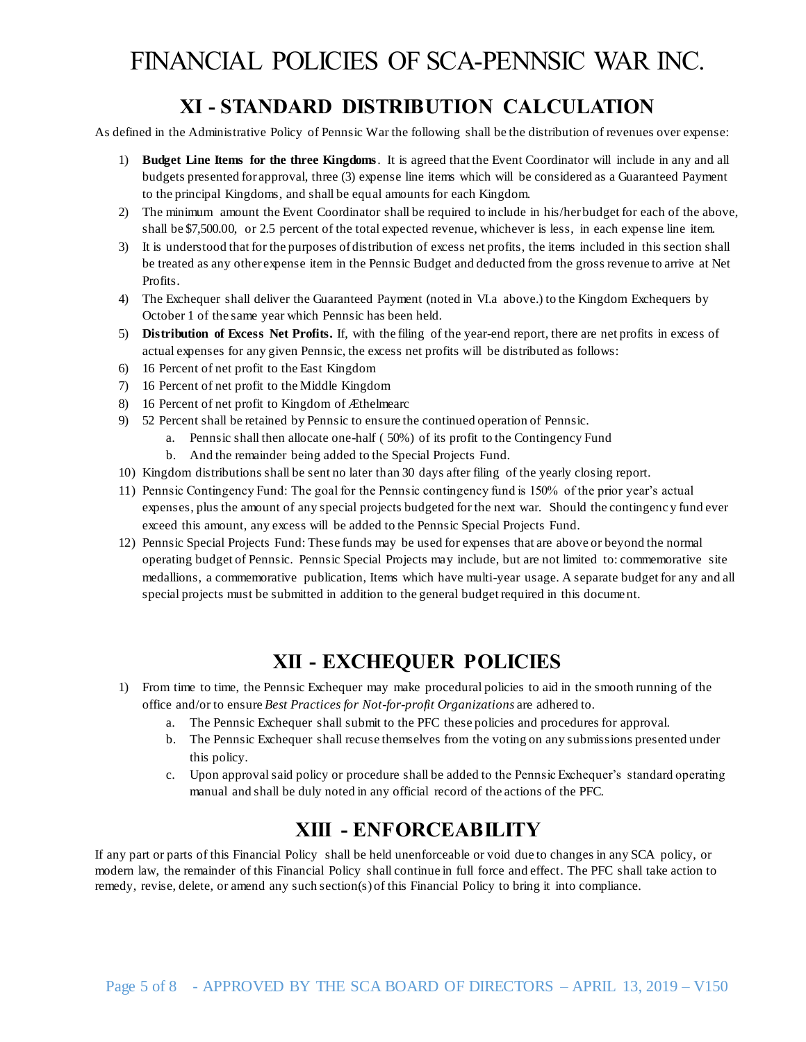## **XI - STANDARD DISTRIBUTION CALCULATION**

As defined in the Administrative Policy of Pennsic War the following shall be the distribution of revenues over expense:

- 1) **Budget Line Items for the three Kingdoms**. It is agreed that the Event Coordinator will include in any and all budgets presented for approval, three (3) expense line items which will be considered as a Guaranteed Payment to the principal Kingdoms, and shall be equal amounts for each Kingdom.
- 2) The minimum amount the Event Coordinator shall be required to include in his/her budget for each of the above, shall be \$7,500.00, or 2.5 percent of the total expected revenue, whichever is less, in each expense line item.
- 3) It is understood that for the purposes of distribution of excess net profits, the items included in this section shall be treated as any other expense item in the Pennsic Budget and deducted from the gross revenue to arrive at Net Profits.
- 4) The Exchequer shall deliver the Guaranteed Payment (noted in VI.a above.) to the Kingdom Exchequers by October 1 of the same year which Pennsic has been held.
- 5) **Distribution of Excess Net Profits.** If, with the filing of the year-end report, there are net profits in excess of actual expenses for any given Pennsic, the excess net profits will be distributed as follows:
- 6) 16 Percent of net profit to the East Kingdom
- 7) 16 Percent of net profit to the Middle Kingdom
- 8) 16 Percent of net profit to Kingdom of Æthelmearc
- 9) 52 Percent shall be retained by Pennsic to ensure the continued operation of Pennsic.
	- a. Pennsic shall then allocate one-half ( 50%) of its profit to the Contingency Fund
	- b. And the remainder being added to the Special Projects Fund.
- 10) Kingdom distributions shall be sent no later than 30 days after filing of the yearly closing report.
- 11) Pennsic Contingency Fund: The goal for the Pennsic contingency fund is 150% of the prior year's actual expenses, plus the amount of any special projects budgeted for the next war. Should the contingenc y fund ever exceed this amount, any excess will be added to the Pennsic Special Projects Fund.
- 12) Pennsic Special Projects Fund: These funds may be used for expenses that are above or beyond the normal operating budget of Pennsic. Pennsic Special Projects may include, but are not limited to: commemorative site medallions, a commemorative publication, Items which have multi-year usage. A separate budget for any and all special projects must be submitted in addition to the general budget required in this document.

#### **XII - EXCHEQUER POLICIES**

- 1) From time to time, the Pennsic Exchequer may make procedural policies to aid in the smooth running of the office and/or to ensure *Best Practices for Not-for-profit Organizations* are adhered to.
	- a. The Pennsic Exchequer shall submit to the PFC these policies and procedures for approval.
	- b. The Pennsic Exchequer shall recuse themselves from the voting on any submissions presented under this policy.
	- c. Upon approval said policy or procedure shall be added to the Pennsic Exchequer's standard operating manual and shall be duly noted in any official record of the actions of the PFC.

## **XIII - ENFORCEABILITY**

If any part or parts of this Financial Policy shall be held unenforceable or void due to changes in any SCA policy, or modern law, the remainder of this Financial Policy shall continue in full force and effect. The PFC shall take action to remedy, revise, delete, or amend any such section(s) of this Financial Policy to bring it into compliance.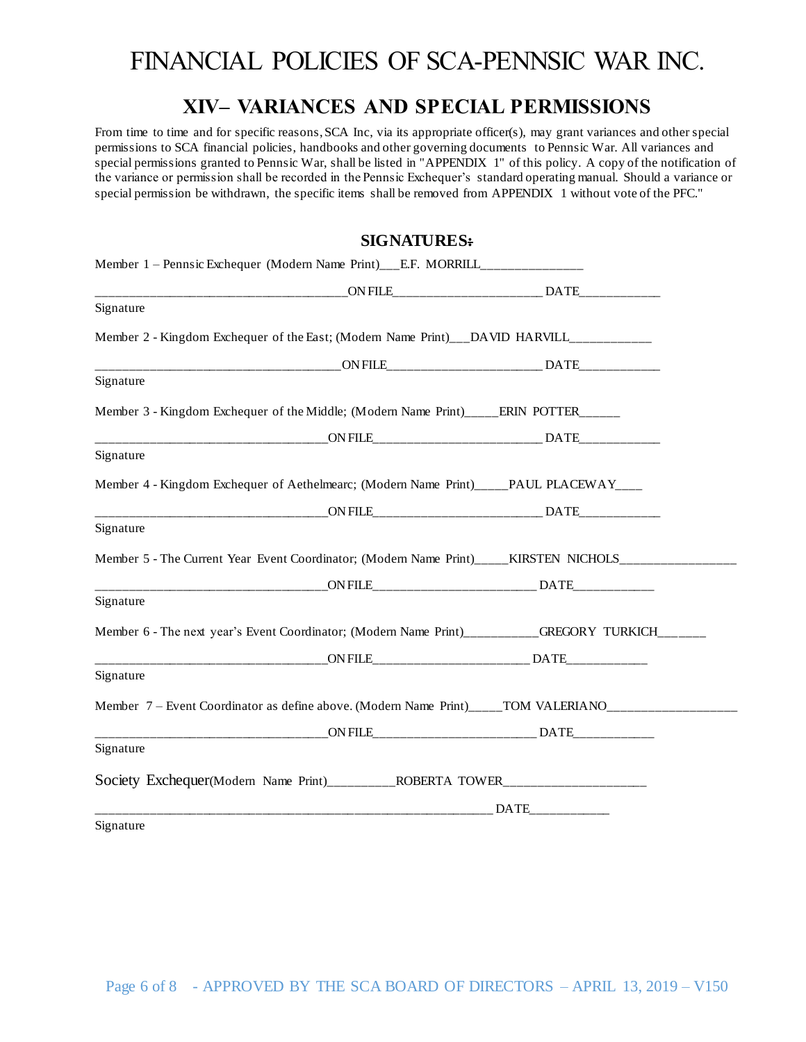#### **XIV– VARIANCES AND SPECIAL PERMISSIONS**

From time to time and for specific reasons, SCA Inc, via its appropriate officer(s), may grant variances and other special permissions to SCA financial policies, handbooks and other governing documents to Pennsic War. All variances and special permissions granted to Pennsic War, shall be listed in "APPENDIX 1" of this policy. A copy of the notification of the variance or permission shall be recorded in the Pennsic Exchequer's standard operating manual. Should a variance or special permission be withdrawn, the specific items shall be removed from APPENDIX 1 without vote of the PFC."

#### **SIGNATURES:**

| Member 1 – Pennsic Exchequer (Modern Name Print)___E.F. MORRILL________________                     |  |
|-----------------------------------------------------------------------------------------------------|--|
|                                                                                                     |  |
| Signature                                                                                           |  |
| Member 2 - Kingdom Exchequer of the East; (Modern Name Print)___DAVID HARVILL____________           |  |
|                                                                                                     |  |
| Signature                                                                                           |  |
| Member 3 - Kingdom Exchequer of the Middle; (Modern Name Print)_____ERIN POTTER______               |  |
|                                                                                                     |  |
| Signature                                                                                           |  |
| Member 4 - Kingdom Exchequer of Aethelmearc; (Modern Name Print)____PAUL PLACEWAY____               |  |
|                                                                                                     |  |
| Signature                                                                                           |  |
| Member 5 - The Current Year Event Coordinator; (Modern Name Print)_____KIRSTEN_NICHOLS__________    |  |
| ON FILE DATE DATE                                                                                   |  |
| Signature                                                                                           |  |
| Member 6 - The next year's Event Coordinator; (Modern Name Print)_________GREGORY TURKICH______     |  |
| ON FILE DATE                                                                                        |  |
| Signature                                                                                           |  |
| Member 7 - Event Coordinator as define above. (Modern Name Print)_____TOM VALERIANO________________ |  |
|                                                                                                     |  |
| Signature                                                                                           |  |
| Society Exchequer(Modern Name Print)____________ROBERTA TOWER___________________                    |  |
|                                                                                                     |  |
| Signature                                                                                           |  |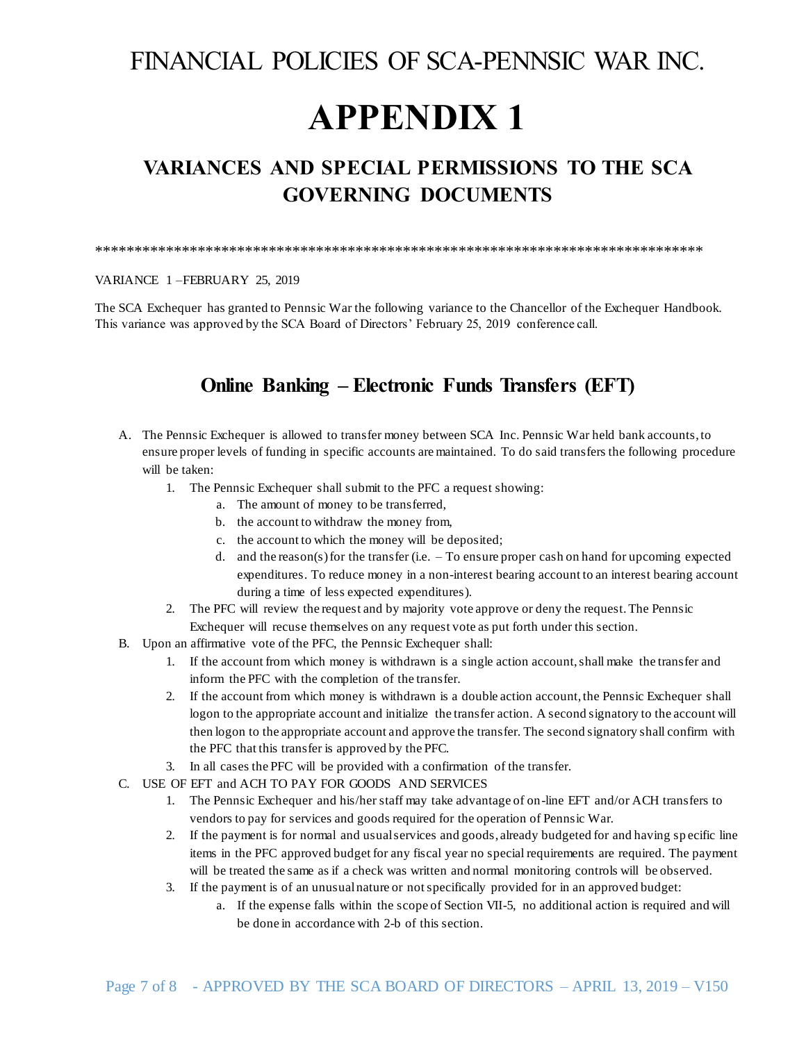# **APPENDIX 1**

## **VARIANCES AND SPECIAL PERMISSIONS TO THE SCA GOVERNING DOCUMENTS**

#### \*\*\*\*\*\*\*\*\*\*\*\*\*\*\*\*\*\*\*\*\*\*\*\*\*\*\*\*\*\*\*\*\*\*\*\*\*\*\*\*\*\*\*\*\*\*\*\*\*\*\*\*\*\*\*\*\*\*\*\*\*\*\*\*\*\*\*\*\*\*\*\*\*\*\*\*\*

VARIANCE 1 –FEBRUARY 25, 2019

The SCA Exchequer has granted to Pennsic War the following variance to the Chancellor of the Exchequer Handbook. This variance was approved by the SCA Board of Directors' February 25, 2019 conference call.

#### **Online Banking – Electronic Funds Transfers (EFT)**

- A. The Pennsic Exchequer is allowed to transfer money between SCA Inc. Pennsic War held bank accounts, to ensure proper levels of funding in specific accounts are maintained. To do said transfers the following procedure will be taken:
	- 1. The Pennsic Exchequer shall submit to the PFC a request showing:
		- a. The amount of money to be transferred,
		- b. the account to withdraw the money from,
		- c. the account to which the money will be deposited;
		- d. and the reason(s) for the transfer (i.e. To ensure proper cash on hand for upcoming expected expenditures. To reduce money in a non-interest bearing account to an interest bearing account during a time of less expected expenditures).
	- 2. The PFC will review the request and by majority vote approve or deny the request. The Pennsic Exchequer will recuse themselves on any request vote as put forth under this section.
- B. Upon an affirmative vote of the PFC, the Pennsic Exchequer shall:
	- 1. If the account from which money is withdrawn is a single action account, shall make the transfer and inform the PFC with the completion of the transfer.
	- 2. If the account from which money is withdrawn is a double action account, the Pennsic Exchequer shall logon to the appropriate account and initialize the transfer action. A second signatory to the account will then logon to the appropriate account and approve the transfer. The second signatory shall confirm with the PFC that this transfer is approved by the PFC.
	- 3. In all cases the PFC will be provided with a confirmation of the transfer.
- C. USE OF EFT and ACH TO PAY FOR GOODS AND SERVICES
	- 1. The Pennsic Exchequer and his/her staff may take advantage of on-line EFT and/or ACH transfers to vendors to pay for services and goods required for the operation of Pennsic War.
	- 2. If the payment is for normal and usual services and goods, already budgeted for and having sp ecific line items in the PFC approved budget for any fiscal year no special requirements are required. The payment will be treated the same as if a check was written and normal monitoring controls will be observed.
	- 3. If the payment is of an unusual nature or not specifically provided for in an approved budget:
		- a. If the expense falls within the scope of Section VII-5, no additional action is required and will be done in accordance with 2-b of this section.